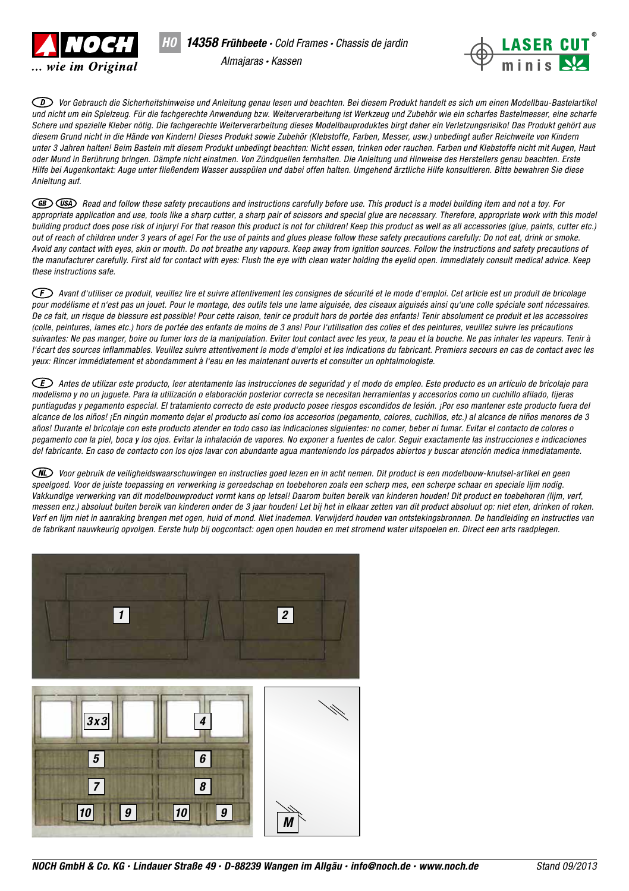

*H0*



*Vor Gebrauch die Sicherheitshinweise und Anleitung genau lesen und beachten. Bei diesem Produkt handelt es sich um einen Modellbau-Bastelartikel und nicht um ein Spielzeug. Für die fachgerechte Anwendung bzw. Weiterverarbeitung ist Werkzeug und Zubehör wie ein scharfes Bastelmesser, eine scharfe Schere und spezielle Kleber nötig. Die fachgerechte Weiterverarbeitung dieses Modellbauproduktes birgt daher ein Verletzungsrisiko! Das Produkt gehört aus diesem Grund nicht in die Hände von Kindern! Dieses Produkt sowie Zubehör (Klebstoffe, Farben, Messer, usw.) unbedingt außer Reichweite von Kindern unter 3 Jahren halten! Beim Basteln mit diesem Produkt unbedingt beachten: Nicht essen, trinken oder rauchen. Farben und Klebstoffe nicht mit Augen, Haut oder Mund in Berührung bringen. Dämpfe nicht einatmen. Von Zündquellen fernhalten. Die Anleitung und Hinweise des Herstellers genau beachten. Erste Hilfe bei Augenkontakt: Auge unter fließendem Wasser ausspülen und dabei offen halten. Umgehend ärztliche Hilfe konsultieren. Bitte bewahren Sie diese Anleitung auf.* 

*Read and follow these safety precautions and instructions carefully before use. This product is a model building item and not a toy. For*  appropriate application and use, tools like a sharp cutter, a sharp pair of scissors and special glue are necessary. Therefore, appropriate work with this model *building product does pose risk of injury! For that reason this product is not for children! Keep this product as well as all accessories (glue, paints, cutter etc.) out of reach of children under 3 years of age! For the use of paints and glues please follow these safety precautions carefully: Do not eat, drink or smoke. Avoid any contact with eyes, skin or mouth. Do not breathe any vapours. Keep away from ignition sources. Follow the instructions and safety precautions of the manufacturer carefully. First aid for contact with eyes: Flush the eye with clean water holding the eyelid open. Immediately consult medical advice. Keep these instructions safe.*

*Avant d'utiliser ce produit, veuillez lire et suivre attentivement les consignes de sécurité et le mode d'emploi. Cet article est un produit de bricolage pour modélisme et n'est pas un jouet. Pour le montage, des outils tels une lame aiguisée, des ciseaux aiguisés ainsi qu'une colle spéciale sont nécessaires. De ce fait, un risque de blessure est possible! Pour cette raison, tenir ce produit hors de portée des enfants! Tenir absolument ce produit et les accessoires (colle, peintures, lames etc.) hors de portée des enfants de moins de 3 ans! Pour l'utilisation des colles et des peintures, veuillez suivre les précautions suivantes: Ne pas manger, boire ou fumer lors de la manipulation. Eviter tout contact avec les yeux, la peau et la bouche. Ne pas inhaler les vapeurs. Tenir à*  l'écart des sources inflammables. Veuillez suivre attentivement le mode d'emploi et les indications du fabricant. Premiers secours en cas de contact avec les *yeux: Rincer immédiatement et abondamment à l'eau en les maintenant ouverts et consulter un ophtalmologiste.*

*Antes de utilizar este producto, leer atentamente las instrucciones de seguridad y el modo de empleo. Este producto es un artículo de bricolaje para modelismo y no un juguete. Para la utilización o elaboración posterior correcta se necesitan herramientas y accesorios como un cuchillo afilado, tijeras puntiagudas y pegamento especial. El tratamiento correcto de este producto posee riesgos escondidos de lesión. ¡Por eso mantener este producto fuera del alcance de los niños! ¡En ningún momento dejar el producto así como los accesorios (pegamento, colores, cuchillos, etc.) al alcance de niños menores de 3 años! Durante el bricolaje con este producto atender en todo caso las indicaciones siguientes: no comer, beber ni fumar. Evitar el contacto de colores o pegamento con la piel, boca y los ojos. Evitar la inhalación de vapores. No exponer a fuentes de calor. Seguir exactamente las instrucciones e indicaciones del fabricante. En caso de contacto con los ojos lavar con abundante agua manteniendo los párpados abiertos y buscar atención medica inmediatamente.*

*Voor gebruik de veiligheidswaarschuwingen en instructies goed lezen en in acht nemen. Dit product is een modelbouw-knutsel-artikel en geen speelgoed. Voor de juiste toepassing en verwerking is gereedschap en toebehoren zoals een scherp mes, een scherpe schaar en speciale lijm nodig. Vakkundige verwerking van dit modelbouwproduct vormt kans op letsel! Daarom buiten bereik van kinderen houden! Dit product en toebehoren (lijm, verf, messen enz.) absoluut buiten bereik van kinderen onder de 3 jaar houden! Let bij het in elkaar zetten van dit product absoluut op: niet eten, drinken of roken. Verf en lijm niet in aanraking brengen met ogen, huid of mond. Niet inademen. Verwijderd houden van ontstekingsbronnen. De handleiding en instructies van de fabrikant nauwkeurig opvolgen. Eerste hulp bij oogcontact: ogen open houden en met stromend water uitspoelen en. Direct een arts raadplegen.*